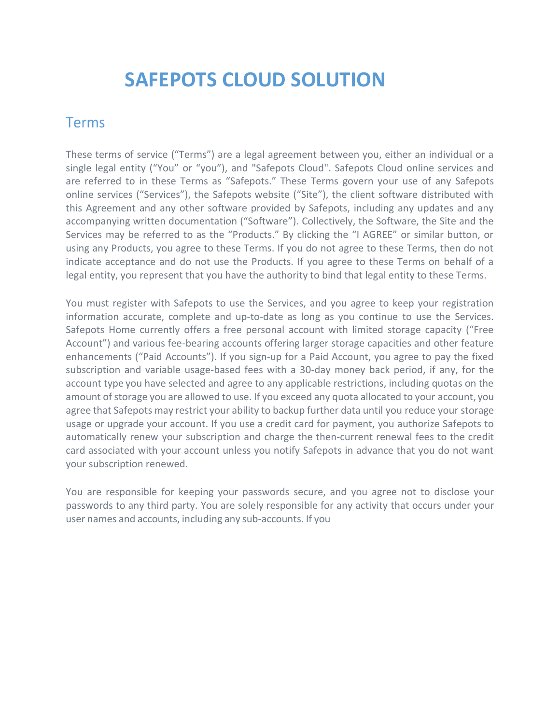# **SAFEPOTS CLOUD SOLUTION**

#### Terms

These terms of service ("Terms") are a legal agreement between you, either an individual or a single legal entity ("You" or "you"), and "Safepots Cloud". Safepots Cloud online services and are referred to in these Terms as "Safepots." These Terms govern your use of any Safepots online services ("Services"), the Safepots website ("Site"), the client software distributed with this Agreement and any other software provided by Safepots, including any updates and any accompanying written documentation ("Software"). Collectively, the Software, the Site and the Services may be referred to as the "Products." By clicking the "I AGREE" or similar button, or using any Products, you agree to these Terms. If you do not agree to these Terms, then do not indicate acceptance and do not use the Products. If you agree to these Terms on behalf of a legal entity, you represent that you have the authority to bind that legal entity to these Terms.

You must register with Safepots to use the Services, and you agree to keep your registration information accurate, complete and up-to-date as long as you continue to use the Services. Safepots Home currently offers a free personal account with limited storage capacity ("Free Account") and various fee-bearing accounts offering larger storage capacities and other feature enhancements ("Paid Accounts"). If you sign-up for a Paid Account, you agree to pay the fixed subscription and variable usage-based fees with a 30-day money back period, if any, for the account type you have selected and agree to any applicable restrictions, including quotas on the amount of storage you are allowed to use. If you exceed any quota allocated to your account, you agree that Safepots may restrict your ability to backup further data until you reduce your storage usage or upgrade your account. If you use a credit card for payment, you authorize Safepots to automatically renew your subscription and charge the then-current renewal fees to the credit card associated with your account unless you notify Safepots in advance that you do not want your subscription renewed.

You are responsible for keeping your passwords secure, and you agree not to disclose your passwords to any third party. You are solely responsible for any activity that occurs under your user names and accounts, including any sub-accounts. If you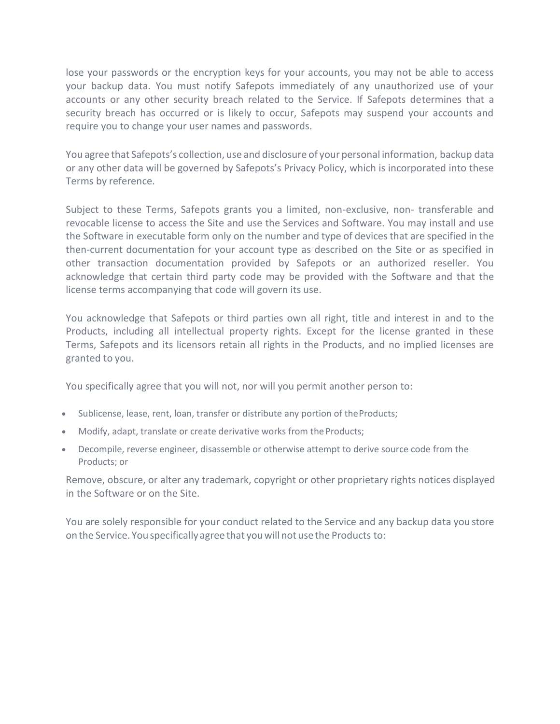lose your passwords or the encryption keys for your accounts, you may not be able to access your backup data. You must notify Safepots immediately of any unauthorized use of your accounts or any other security breach related to the Service. If Safepots determines that a security breach has occurred or is likely to occur, Safepots may suspend your accounts and require you to change your user names and passwords.

You agree that Safepots's collection, use and disclosure of your personal information, backup data or any other data will be governed by Safepots's Privacy Policy, which is incorporated into these Terms by reference.

Subject to these Terms, Safepots grants you a limited, non-exclusive, non- transferable and revocable license to access the Site and use the Services and Software. You may install and use the Software in executable form only on the number and type of devices that are specified in the then-current documentation for your account type as described on the Site or as specified in other transaction documentation provided by Safepots or an authorized reseller. You acknowledge that certain third party code may be provided with the Software and that the license terms accompanying that code will govern its use.

You acknowledge that Safepots or third parties own all right, title and interest in and to the Products, including all intellectual property rights. Except for the license granted in these Terms, Safepots and its licensors retain all rights in the Products, and no implied licenses are granted to you.

You specifically agree that you will not, nor will you permit another person to:

- Sublicense, lease, rent, loan, transfer or distribute any portion of theProducts;
- Modify, adapt, translate or create derivative works from the Products;
- Decompile, reverse engineer, disassemble or otherwise attempt to derive source code from the Products; or

Remove, obscure, or alter any trademark, copyright or other proprietary rights notices displayed in the Software or on the Site.

You are solely responsible for your conduct related to the Service and any backup data you store on the Service. You specifically agree that youwill not use the Products to: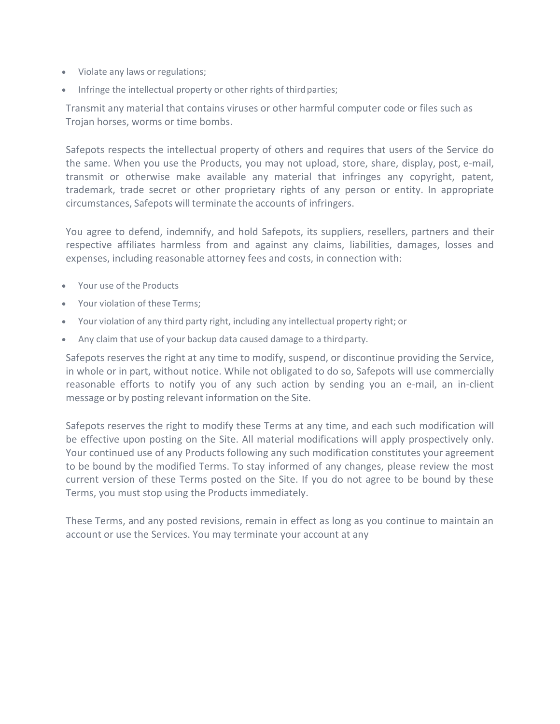- Violate any laws or regulations;
- Infringe the intellectual property or other rights of third parties;

Transmit any material that contains viruses or other harmful computer code or files such as Trojan horses, worms or time bombs.

Safepots respects the intellectual property of others and requires that users of the Service do the same. When you use the Products, you may not upload, store, share, display, post, e-mail, transmit or otherwise make available any material that infringes any copyright, patent, trademark, trade secret or other proprietary rights of any person or entity. In appropriate circumstances, Safepots will terminate the accounts of infringers.

You agree to defend, indemnify, and hold Safepots, its suppliers, resellers, partners and their respective affiliates harmless from and against any claims, liabilities, damages, losses and expenses, including reasonable attorney fees and costs, in connection with:

- Your use of the Products
- Your violation of these Terms;
- Your violation of any third party right, including any intellectual property right; or
- Any claim that use of your backup data caused damage to a third party.

Safepots reserves the right at any time to modify, suspend, or discontinue providing the Service, in whole or in part, without notice. While not obligated to do so, Safepots will use commercially reasonable efforts to notify you of any such action by sending you an e-mail, an in-client message or by posting relevant information on the Site.

Safepots reserves the right to modify these Terms at any time, and each such modification will be effective upon posting on the Site. All material modifications will apply prospectively only. Your continued use of any Products following any such modification constitutes your agreement to be bound by the modified Terms. To stay informed of any changes, please review the most current version of these Terms posted on the Site. If you do not agree to be bound by these Terms, you must stop using the Products immediately.

These Terms, and any posted revisions, remain in effect as long as you continue to maintain an account or use the Services. You may terminate your account at any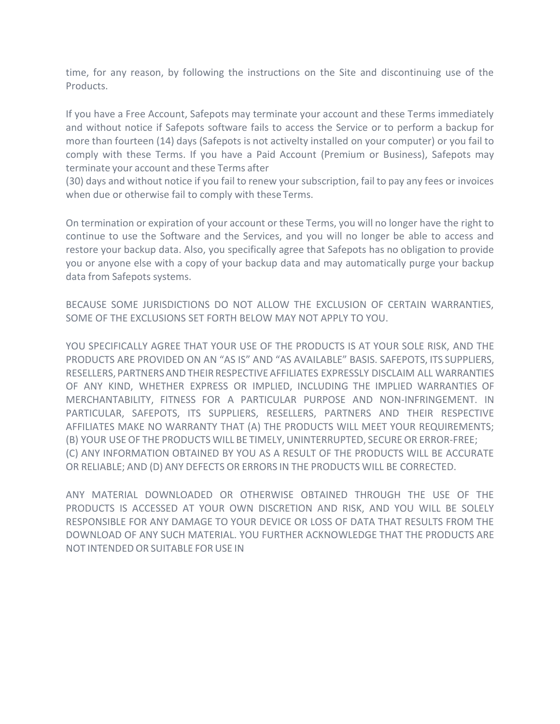time, for any reason, by following the instructions on the Site and discontinuing use of the Products.

If you have a Free Account, Safepots may terminate your account and these Terms immediately and without notice if Safepots software fails to access the Service or to perform a backup for more than fourteen (14) days (Safepots is not activelty installed on your computer) or you fail to comply with these Terms. If you have a Paid Account (Premium or Business), Safepots may terminate your account and these Terms after

(30) days and without notice if you fail to renew your subscription, fail to pay any fees or invoices when due or otherwise fail to comply with these Terms.

On termination or expiration of your account or these Terms, you will no longer have the right to continue to use the Software and the Services, and you will no longer be able to access and restore your backup data. Also, you specifically agree that Safepots has no obligation to provide you or anyone else with a copy of your backup data and may automatically purge your backup data from Safepots systems.

BECAUSE SOME JURISDICTIONS DO NOT ALLOW THE EXCLUSION OF CERTAIN WARRANTIES, SOME OF THE EXCLUSIONS SET FORTH BELOW MAY NOT APPLY TO YOU.

YOU SPECIFICALLY AGREE THAT YOUR USE OF THE PRODUCTS IS AT YOUR SOLE RISK, AND THE PRODUCTS ARE PROVIDED ON AN "AS IS" AND "AS AVAILABLE" BASIS. SAFEPOTS, ITS SUPPLIERS, RESELLERS, PARTNERSANDTHEIR RESPECTIVEAFFILIATES EXPRESSLY DISCLAIM ALL WARRANTIES OF ANY KIND, WHETHER EXPRESS OR IMPLIED, INCLUDING THE IMPLIED WARRANTIES OF MERCHANTABILITY, FITNESS FOR A PARTICULAR PURPOSE AND NON-INFRINGEMENT. IN PARTICULAR, SAFEPOTS, ITS SUPPLIERS, RESELLERS, PARTNERS AND THEIR RESPECTIVE AFFILIATES MAKE NO WARRANTY THAT (A) THE PRODUCTS WILL MEET YOUR REQUIREMENTS; (B) YOUR USEOF THE PRODUCTS WILL BE TIMELY, UNINTERRUPTED, SECUREOR ERROR-FREE; (C) ANY INFORMATION OBTAINED BY YOU AS A RESULT OF THE PRODUCTS WILL BE ACCURATE OR RELIABLE; AND (D) ANY DEFECTS OR ERRORS IN THE PRODUCTS WILL BE CORRECTED.

ANY MATERIAL DOWNLOADED OR OTHERWISE OBTAINED THROUGH THE USE OF THE PRODUCTS IS ACCESSED AT YOUR OWN DISCRETION AND RISK, AND YOU WILL BE SOLELY RESPONSIBLE FOR ANY DAMAGE TO YOUR DEVICE OR LOSS OF DATA THAT RESULTS FROM THE DOWNLOAD OF ANY SUCH MATERIAL. YOU FURTHER ACKNOWLEDGE THAT THE PRODUCTS ARE NOT INTENDED OR SUITABLE FORUSE IN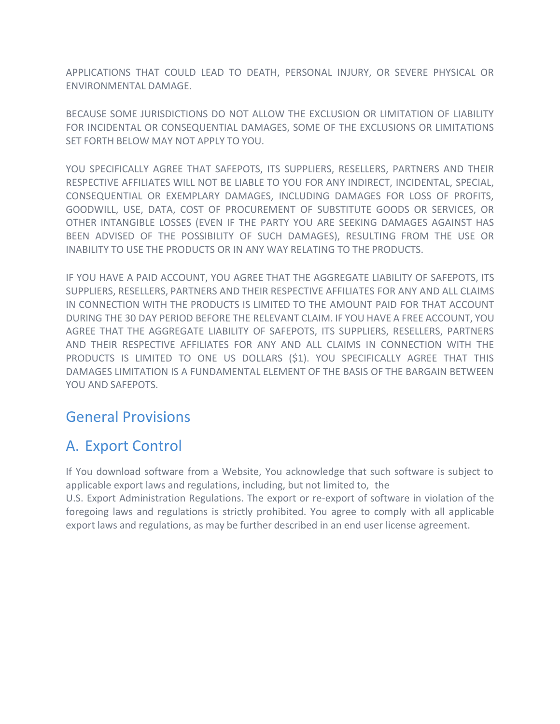APPLICATIONS THAT COULD LEAD TO DEATH, PERSONAL INJURY, OR SEVERE PHYSICAL OR ENVIRONMENTAL DAMAGE.

BECAUSE SOME JURISDICTIONS DO NOT ALLOW THE EXCLUSION OR LIMITATION OF LIABILITY FOR INCIDENTAL OR CONSEQUENTIAL DAMAGES, SOME OF THE EXCLUSIONS OR LIMITATIONS SET FORTH BELOW MAY NOT APPLY TO YOU.

YOU SPECIFICALLY AGREE THAT SAFEPOTS, ITS SUPPLIERS, RESELLERS, PARTNERS AND THEIR RESPECTIVE AFFILIATES WILL NOT BE LIABLE TO YOU FOR ANY INDIRECT, INCIDENTAL, SPECIAL, CONSEQUENTIAL OR EXEMPLARY DAMAGES, INCLUDING DAMAGES FOR LOSS OF PROFITS, GOODWILL, USE, DATA, COST OF PROCUREMENT OF SUBSTITUTE GOODS OR SERVICES, OR OTHER INTANGIBLE LOSSES (EVEN IF THE PARTY YOU ARE SEEKING DAMAGES AGAINST HAS BEEN ADVISED OF THE POSSIBILITY OF SUCH DAMAGES), RESULTING FROM THE USE OR INABILITY TO USE THE PRODUCTS OR IN ANY WAY RELATING TO THE PRODUCTS.

IF YOU HAVE A PAID ACCOUNT, YOU AGREE THAT THE AGGREGATE LIABILITY OF SAFEPOTS, ITS SUPPLIERS, RESELLERS, PARTNERS AND THEIR RESPECTIVE AFFILIATES FOR ANY AND ALL CLAIMS IN CONNECTION WITH THE PRODUCTS IS LIMITED TO THE AMOUNT PAID FOR THAT ACCOUNT DURING THE 30 DAY PERIOD BEFORE THE RELEVANT CLAIM. IF YOU HAVE A FREE ACCOUNT, YOU AGREE THAT THE AGGREGATE LIABILITY OF SAFEPOTS, ITS SUPPLIERS, RESELLERS, PARTNERS AND THEIR RESPECTIVE AFFILIATES FOR ANY AND ALL CLAIMS IN CONNECTION WITH THE PRODUCTS IS LIMITED TO ONE US DOLLARS (\$1). YOU SPECIFICALLY AGREE THAT THIS DAMAGES LIMITATION IS A FUNDAMENTAL ELEMENT OF THE BASIS OF THE BARGAIN BETWEEN YOU AND SAFEPOTS.

### General Provisions

## A. Export Control

If You download software from a Website, You acknowledge that such software is subject to applicable export laws and regulations, including, but not limited to, the

U.S. Export Administration Regulations. The export or re-export of software in violation of the foregoing laws and regulations is strictly prohibited. You agree to comply with all applicable export laws and regulations, as may be further described in an end user license agreement.